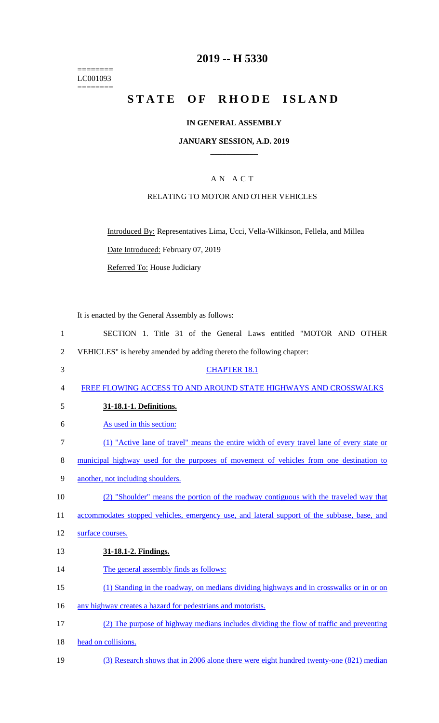======== LC001093 ========

## **2019 -- H 5330**

# **STATE OF RHODE ISLAND**

#### **IN GENERAL ASSEMBLY**

#### **JANUARY SESSION, A.D. 2019 \_\_\_\_\_\_\_\_\_\_\_\_**

#### A N A C T

#### RELATING TO MOTOR AND OTHER VEHICLES

Introduced By: Representatives Lima, Ucci, Vella-Wilkinson, Fellela, and Millea

Date Introduced: February 07, 2019

Referred To: House Judiciary

It is enacted by the General Assembly as follows:

- 1 SECTION 1. Title 31 of the General Laws entitled "MOTOR AND OTHER 2 VEHICLES" is hereby amended by adding thereto the following chapter: 3 CHAPTER 18.1 4 FREE FLOWING ACCESS TO AND AROUND STATE HIGHWAYS AND CROSSWALKS 5 **31-18.1-1. Definitions.**  6 As used in this section: 7 (1) "Active lane of travel" means the entire width of every travel lane of every state or 8 municipal highway used for the purposes of movement of vehicles from one destination to 9 another, not including shoulders. 10 (2) "Shoulder" means the portion of the roadway contiguous with the traveled way that 11 accommodates stopped vehicles, emergency use, and lateral support of the subbase, base, and 12 surface courses. 13 **31-18.1-2. Findings.**  14 The general assembly finds as follows: 15 (1) Standing in the roadway, on medians dividing highways and in crosswalks or in or on 16 any highway creates a hazard for pedestrians and motorists. 17 (2) The purpose of highway medians includes dividing the flow of traffic and preventing 18 head on collisions.
- 19 (3) Research shows that in 2006 alone there were eight hundred twenty-one (821) median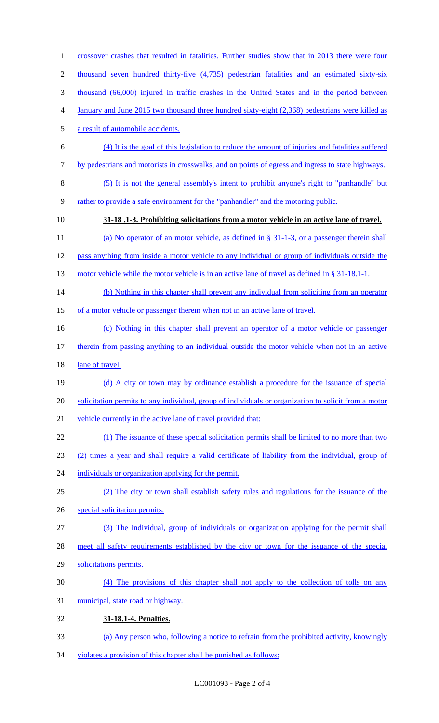thousand seven hundred thirty-five (4,735) pedestrian fatalities and an estimated sixty-six thousand (66,000) injured in traffic crashes in the United States and in the period between January and June 2015 two thousand three hundred sixty-eight (2,368) pedestrians were killed as a result of automobile accidents. (4) It is the goal of this legislation to reduce the amount of injuries and fatalities suffered by pedestrians and motorists in crosswalks, and on points of egress and ingress to state highways. (5) It is not the general assembly's intent to prohibit anyone's right to "panhandle" but rather to provide a safe environment for the "panhandler" and the motoring public. **31-18 .1-3. Prohibiting solicitations from a motor vehicle in an active lane of travel.** 11 (a) No operator of an motor vehicle, as defined in § 31-1-3, or a passenger therein shall pass anything from inside a motor vehicle to any individual or group of individuals outside the 13 motor vehicle while the motor vehicle is in an active lane of travel as defined in § 31-18.1-1. 14 (b) Nothing in this chapter shall prevent any individual from soliciting from an operator 15 of a motor vehicle or passenger therein when not in an active lane of travel. (c) Nothing in this chapter shall prevent an operator of a motor vehicle or passenger therein from passing anything to an individual outside the motor vehicle when not in an active 18 lane of travel. 19 (d) A city or town may by ordinance establish a procedure for the issuance of special solicitation permits to any individual, group of individuals or organization to solicit from a motor 21 vehicle currently in the active lane of travel provided that: (1) The issuance of these special solicitation permits shall be limited to no more than two (2) times a year and shall require a valid certificate of liability from the individual, group of 24 individuals or organization applying for the permit. (2) The city or town shall establish safety rules and regulations for the issuance of the special solicitation permits. (3) The individual, group of individuals or organization applying for the permit shall meet all safety requirements established by the city or town for the issuance of the special solicitations permits. (4) The provisions of this chapter shall not apply to the collection of tolls on any municipal, state road or highway. **31-18.1-4. Penalties.** (a) Any person who, following a notice to refrain from the prohibited activity, knowingly

1 crossover crashes that resulted in fatalities. Further studies show that in 2013 there were four

violates a provision of this chapter shall be punished as follows: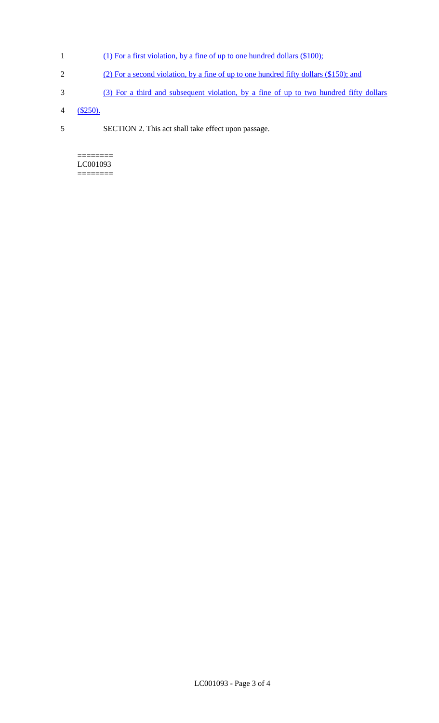- 1 (1) For a first violation, by a fine of up to one hundred dollars (\$100);
- 2 (2) For a second violation, by a fine of up to one hundred fifty dollars (\$150); and
- 3 (3) For a third and subsequent violation, by a fine of up to two hundred fifty dollars
- 4 (\$250).
- 5 SECTION 2. This act shall take effect upon passage.

======== LC001093 ========